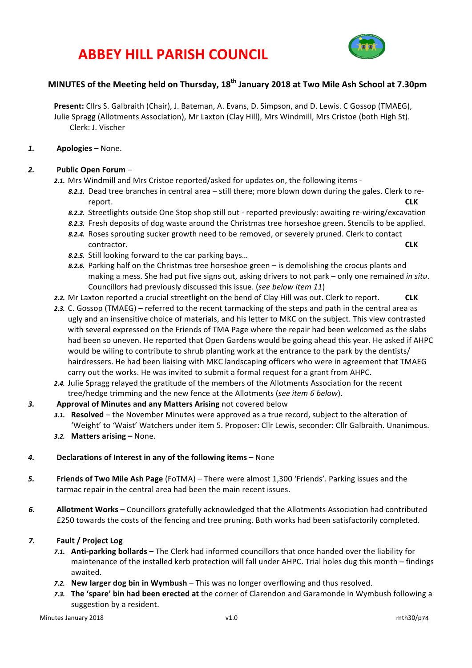# **ABBEY HILL PARISH COUNCIL**



## **MINUTES** of the Meeting held on Thursday, 18<sup>th</sup> January 2018 at Two Mile Ash School at 7.30pm

Present: Cllrs S. Galbraith (Chair), J. Bateman, A. Evans, D. Simpson, and D. Lewis. C Gossop (TMAEG), Julie Spragg (Allotments Association), Mr Laxton (Clay Hill), Mrs Windmill, Mrs Cristoe (both High St). Clerk: J. Vischer

#### *1.* **Apologies** – None.

### *2.* **Public Open Forum** –

- 2.1. Mrs Windmill and Mrs Cristoe reported/asked for updates on, the following items -
	- 8.2.1. Dead tree branches in central area still there; more blown down during the gales. Clerk to rereport. **CLK**
	- 8.2.2. Streetlights outside One Stop shop still out reported previously: awaiting re-wiring/excavation
	- 8.2.3. Fresh deposits of dog waste around the Christmas tree horseshoe green. Stencils to be applied.
	- 8.2.4. Roses sprouting sucker growth need to be removed, or severely pruned. Clerk to contact contractor. **CLK**
	- 8.2.5. Still looking forward to the car parking bays...
	- 8.2.6. Parking half on the Christmas tree horseshoe green is demolishing the crocus plants and making a mess. She had put five signs out, asking drivers to not park – only one remained *in situ*. Councillors had previously discussed this issue. (*see below item 11*)
- **2.2.** Mr Laxton reported a crucial streetlight on the bend of Clay Hill was out. Clerk to report. **CLK**
- 2.3. C. Gossop (TMAEG) referred to the recent tarmacking of the steps and path in the central area as ugly and an insensitive choice of materials, and his letter to MKC on the subject. This view contrasted with several expressed on the Friends of TMA Page where the repair had been welcomed as the slabs had been so uneven. He reported that Open Gardens would be going ahead this year. He asked if AHPC would be wiling to contribute to shrub planting work at the entrance to the park by the dentists/ hairdressers. He had been liaising with MKC landscaping officers who were in agreement that TMAEG carry out the works. He was invited to submit a formal request for a grant from AHPC.
- 2.4. Julie Spragg relayed the gratitude of the members of the Allotments Association for the recent tree/hedge trimming and the new fence at the Allotments (see item 6 below).
- 3. **Approval of Minutes and any Matters Arising** not covered below
	- 3.1. **Resolved** the November Minutes were approved as a true record, subject to the alteration of 'Weight' to 'Waist' Watchers under item 5. Proposer: Cllr Lewis, seconder: Cllr Galbraith. Unanimous.
	- 3.2. Matters arising None.
- 4. Declarations of Interest in any of the following items None
- **5. Friends of Two Mile Ash Page** (FoTMA) There were almost 1,300 'Friends'. Parking issues and the tarmac repair in the central area had been the main recent issues.
- 6. **Allotment Works** Councillors gratefully acknowledged that the Allotments Association had contributed £250 towards the costs of the fencing and tree pruning. Both works had been satisfactorily completed.

### *7.* **Fault / Project Log**

- 7.1. **Anti-parking bollards** The Clerk had informed councillors that once handed over the liability for maintenance of the installed kerb protection will fall under AHPC. Trial holes dug this month – findings awaited.
- **7.2.** New larger dog bin in Wymbush This was no longer overflowing and thus resolved.
- 7.3. The 'spare' bin had been erected at the corner of Clarendon and Garamonde in Wymbush following a suggestion by a resident.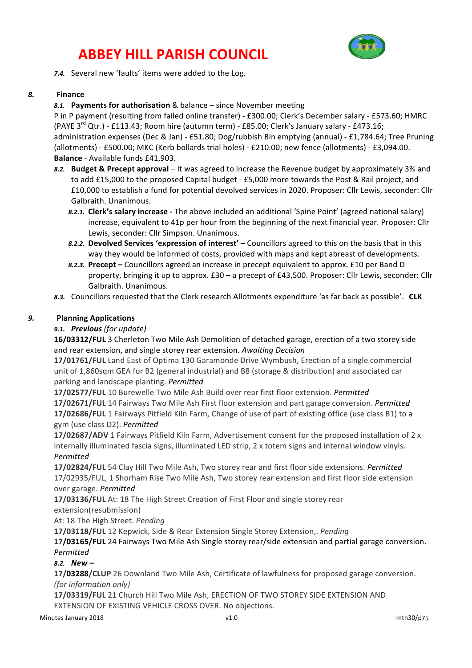# **ABBEY HILL PARISH COUNCIL**



7.4. Several new 'faults' items were added to the Log.

#### *8.* **Finance**

8.1. Payments for authorisation & balance – since November meeting

P in P payment (resulting from failed online transfer) - £300.00; Clerk's December salary - £573.60; HMRC (PAYE  $3^{rd}$  Qtr.) - £113.43; Room hire (autumn term) - £85.00; Clerk's January salary - £473.16; administration expenses (Dec & Jan) - £51.80; Dog/rubbish Bin emptying (annual) - £1,784.64; Tree Pruning (allotments) - £500.00; MKC (Kerb bollards trial holes) - £210.00; new fence (allotments) - £3,094.00. **Balance** - Available funds £41,903.

- 8.2. **Budget & Precept approval** It was agreed to increase the Revenue budget by approximately 3% and to add £15,000 to the proposed Capital budget - £5,000 more towards the Post & Rail project, and £10,000 to establish a fund for potential devolved services in 2020. Proposer: Cllr Lewis, seconder: Cllr Galbraith. Unanimous.
	- **8.2.1. Clerk's salary increase** The above included an additional 'Spine Point' (agreed national salary) increase, equivalent to 41p per hour from the beginning of the next financial year. Proposer: Cllr Lewis, seconder: Cllr Simpson. Unanimous.
	- 8.2.2. Devolved Services 'expression of interest' Councillors agreed to this on the basis that in this way they would be informed of costs, provided with maps and kept abreast of developments.
	- 8.2.3. Precept Councillors agreed an increase in precept equivalent to approx. £10 per Band D property, bringing it up to approx.  $£30 - a$  precept of  $£43,500$ . Proposer: Cllr Lewis, seconder: Cllr Galbraith. Unanimous.
- 8.3. Councillors requested that the Clerk research Allotments expenditure 'as far back as possible'. CLK

### *9.* **Planning Applications**

### *9.1. Previous (for update)*

16/03312/FUL 3 Cherleton Two Mile Ash Demolition of detached garage, erection of a two storey side and rear extension, and single storey rear extension. Awaiting Decision

**17/01761/FUL** Land East of Optima 130 Garamonde Drive Wymbush, Erection of a single commercial unit of 1,860sqm GEA for B2 (general industrial) and B8 (storage & distribution) and associated car parking and landscape planting. Permitted

17/02577/FUL 10 Burewelle Two Mile Ash Build over rear first floor extension. Permitted 17/02671/FUL 14 Fairways Two Mile Ash First floor extension and part garage conversion. Permitted **17/02686/FUL** 1 Fairways Pitfield Kiln Farm, Change of use of part of existing office (use class B1) to a gym (use class D2). *Permitted*

**17/02687/ADV** 1 Fairways Pitfield Kiln Farm, Advertisement consent for the proposed installation of 2 x internally illuminated fascia signs, illuminated LED strip, 2 x totem signs and internal window vinyls. *Permitted*

**17/02824/FUL** 54 Clay Hill Two Mile Ash, Two storey rear and first floor side extensions. *Permitted* 17/02935/FUL, 1 Shorham Rise Two Mile Ash, Two storey rear extension and first floor side extension over garage. *Permitted*

**17/03136/FUL** At: 18 The High Street Creation of First Floor and single storey rear

extension(resubmission)

At: 18 The High Street. *Pending* 

17/03118/FUL 12 Kepwick, Side & Rear Extension Single Storey Extension,. *Pending* 

17/03165/FUL 24 Fairways Two Mile Ash Single storey rear/side extension and partial garage conversion. *Permitted*

#### *8.2. New –*

**17/03288/CLUP** 26 Downland Two Mile Ash, Certificate of lawfulness for proposed garage conversion. *(for information only)*

17/03319/FUL 21 Church Hill Two Mile Ash, ERECTION OF TWO STOREY SIDE EXTENSION AND EXTENSION OF EXISTING VEHICLE CROSS OVER. No objections.

Minutes January 2018 **v1.0** v1.0 v1.0 mth30/p75